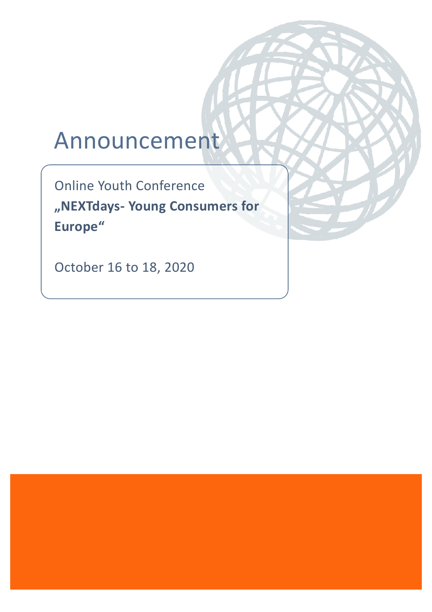# Announcement

Online Youth Conference **"NEXTdays- Young Consumers for Europe"**

October 16 to 18, 2020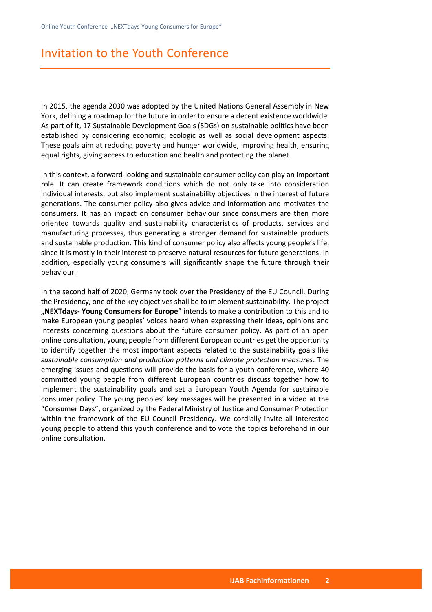## Invitation to the Youth Conference

In 2015, the agenda 2030 was adopted by the United Nations General Assembly in New York, defining a roadmap for the future in order to ensure a decent existence worldwide. As part of it, 17 Sustainable Development Goals (SDGs) on sustainable politics have been established by considering economic, ecologic as well as social development aspects. These goals aim at reducing poverty and hunger worldwide, improving health, ensuring equal rights, giving access to education and health and protecting the planet.

In this context, a forward-looking and sustainable consumer policy can play an important role. It can create framework conditions which do not only take into consideration individual interests, but also implement sustainability objectives in the interest of future generations. The consumer policy also gives advice and information and motivates the consumers. It has an impact on consumer behaviour since consumers are then more oriented towards quality and sustainability characteristics of products, services and manufacturing processes, thus generating a stronger demand for sustainable products and sustainable production. This kind of consumer policy also affects young people's life, since it is mostly in their interest to preserve natural resources for future generations. In addition, especially young consumers will significantly shape the future through their behaviour.

In the second half of 2020, Germany took over the Presidency of the EU Council. During the Presidency, one of the key objectives shall be to implement sustainability. The project **"NEXTdays- Young Consumers for Europe"** intends to make a contribution to this and to make European young peoples' voices heard when expressing their ideas, opinions and interests concerning questions about the future consumer policy. As part of an open online consultation, young people from different European countries get the opportunity to identify together the most important aspects related to the sustainability goals like *sustainable consumption and production patterns and climate protection measures*. The emerging issues and questions will provide the basis for a youth conference, where 40 committed young people from different European countries discuss together how to implement the sustainability goals and set a European Youth Agenda for sustainable consumer policy. The young peoples' key messages will be presented in a video at the "Consumer Days", organized by the Federal Ministry of Justice and Consumer Protection within the framework of the EU Council Presidency. We cordially invite all interested young people to attend this youth conference and to vote the topics beforehand in our online consultation.